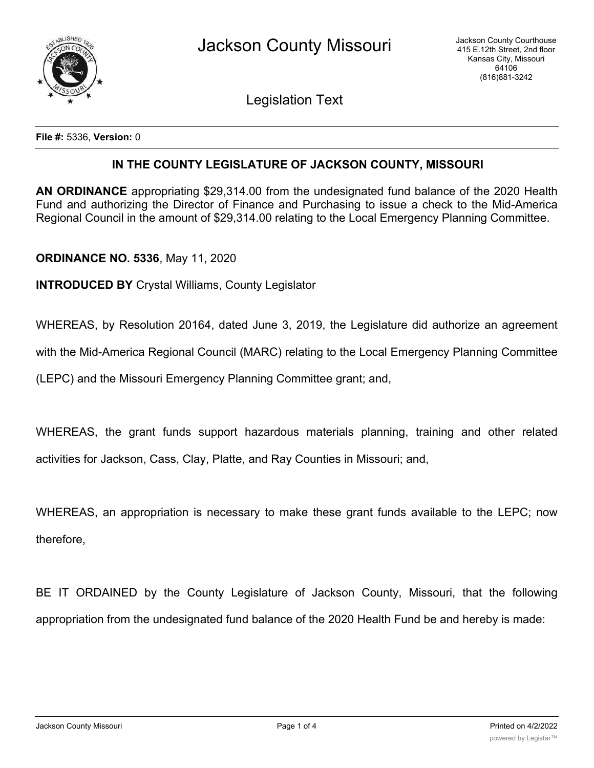

Legislation Text

**File #:** 5336, **Version:** 0

## **IN THE COUNTY LEGISLATURE OF JACKSON COUNTY, MISSOURI**

**AN ORDINANCE** appropriating \$29,314.00 from the undesignated fund balance of the 2020 Health Fund and authorizing the Director of Finance and Purchasing to issue a check to the Mid-America Regional Council in the amount of \$29,314.00 relating to the Local Emergency Planning Committee.

## **ORDINANCE NO. 5336**, May 11, 2020

**INTRODUCED BY** Crystal Williams, County Legislator

WHEREAS, by Resolution 20164, dated June 3, 2019, the Legislature did authorize an agreement

with the Mid-America Regional Council (MARC) relating to the Local Emergency Planning Committee

(LEPC) and the Missouri Emergency Planning Committee grant; and,

WHEREAS, the grant funds support hazardous materials planning, training and other related activities for Jackson, Cass, Clay, Platte, and Ray Counties in Missouri; and,

WHEREAS, an appropriation is necessary to make these grant funds available to the LEPC; now therefore,

BE IT ORDAINED by the County Legislature of Jackson County, Missouri, that the following appropriation from the undesignated fund balance of the 2020 Health Fund be and hereby is made: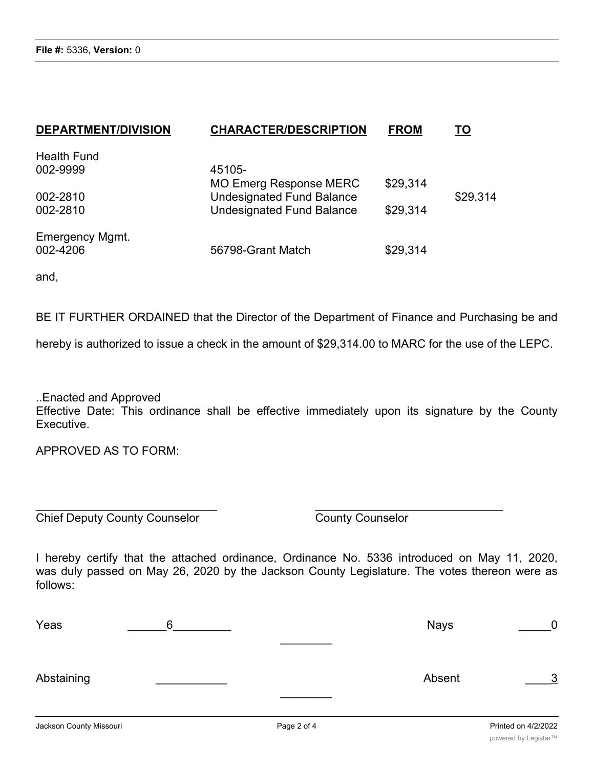| <b>DEPARTMENT/DIVISION</b> | <b>CHARACTER/DESCRIPTION</b>     | <b>FROM</b> | TO       |
|----------------------------|----------------------------------|-------------|----------|
| <b>Health Fund</b>         |                                  |             |          |
| 002-9999                   | 45105-                           |             |          |
|                            | <b>MO Emerg Response MERC</b>    | \$29,314    |          |
| 002-2810                   | <b>Undesignated Fund Balance</b> |             | \$29,314 |
| 002-2810                   | <b>Undesignated Fund Balance</b> | \$29,314    |          |
| <b>Emergency Mgmt.</b>     |                                  |             |          |
| 002-4206                   | 56798-Grant Match                | \$29,314    |          |

and,

BE IT FURTHER ORDAINED that the Director of the Department of Finance and Purchasing be and

hereby is authorized to issue a check in the amount of \$29,314.00 to MARC for the use of the LEPC.

..Enacted and Approved Effective Date: This ordinance shall be effective immediately upon its signature by the County Executive.

APPROVED AS TO FORM:

Chief Deputy County Counselor County Counselor

I hereby certify that the attached ordinance, Ordinance No. 5336 introduced on May 11, 2020, was duly passed on May 26, 2020 by the Jackson County Legislature. The votes thereon were as follows:

 $\overline{\phantom{a}}$  , and the contract of the contract of the contract of the contract of the contract of the contract of the contract of the contract of the contract of the contract of the contract of the contract of the contrac

| Yeas       | 6 | <b>Nays</b> | $\overline{0}$ |
|------------|---|-------------|----------------|
| Abstaining |   | Absent      | $\frac{3}{2}$  |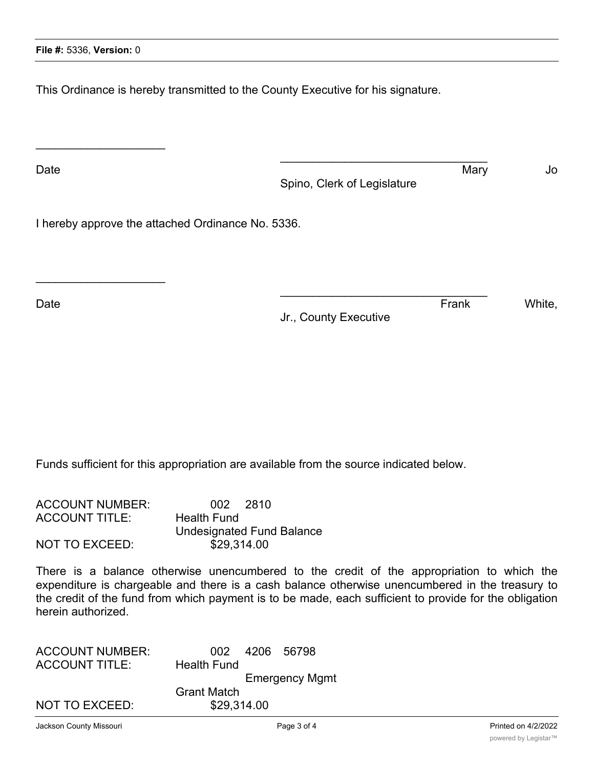$\overline{\phantom{a}}$  , where  $\overline{\phantom{a}}$  , where  $\overline{\phantom{a}}$  , where  $\overline{\phantom{a}}$ 

 $\overline{\phantom{a}}$  , where  $\overline{\phantom{a}}$  , where  $\overline{\phantom{a}}$  , where  $\overline{\phantom{a}}$ 

This Ordinance is hereby transmitted to the County Executive for his signature.

Date and the Mary Section of the Mary Section of the Mary Section of the Mary Section of the Mary Section of the Mary Section of the Mary Section of the Mary Section of the Mary Section of the Mary Section of the Mary Sect Spino, Clerk of Legislature

 $\mathcal{L}_\mathcal{L}$  , where  $\mathcal{L}_\mathcal{L}$  is the set of the set of the set of the set of the set of the set of the set of the set of the set of the set of the set of the set of the set of the set of the set of the set of the

 $\mathcal{L}_\mathcal{L}$  , where  $\mathcal{L}_\mathcal{L}$  is the set of the set of the set of the set of the set of the set of the set of the set of the set of the set of the set of the set of the set of the set of the set of the set of the

I hereby approve the attached Ordinance No. 5336.

Date **Example 20** Notice that the contract of the contract of the contract of the contract of the contract of the contract of the contract of the contract of the contract of the contract of the contract of the contract of

Jr., County Executive

Funds sufficient for this appropriation are available from the source indicated below.

| <b>ACCOUNT NUMBER:</b> | 002 2810                  |
|------------------------|---------------------------|
| <b>ACCOUNT TITLE:</b>  | Health Fund               |
|                        | Undesignated Fund Balance |
| <b>NOT TO EXCEED:</b>  | \$29,314.00               |

There is a balance otherwise unencumbered to the credit of the appropriation to which the expenditure is chargeable and there is a cash balance otherwise unencumbered in the treasury to the credit of the fund from which payment is to be made, each sufficient to provide for the obligation herein authorized.

| <b>ACCOUNT NUMBER:</b> | 002 4206 56798        |
|------------------------|-----------------------|
| <b>ACCOUNT TITLE:</b>  | <b>Health Fund</b>    |
|                        | <b>Emergency Mgmt</b> |
|                        | <b>Grant Match</b>    |
| <b>NOT TO EXCEED:</b>  | \$29,314.00           |